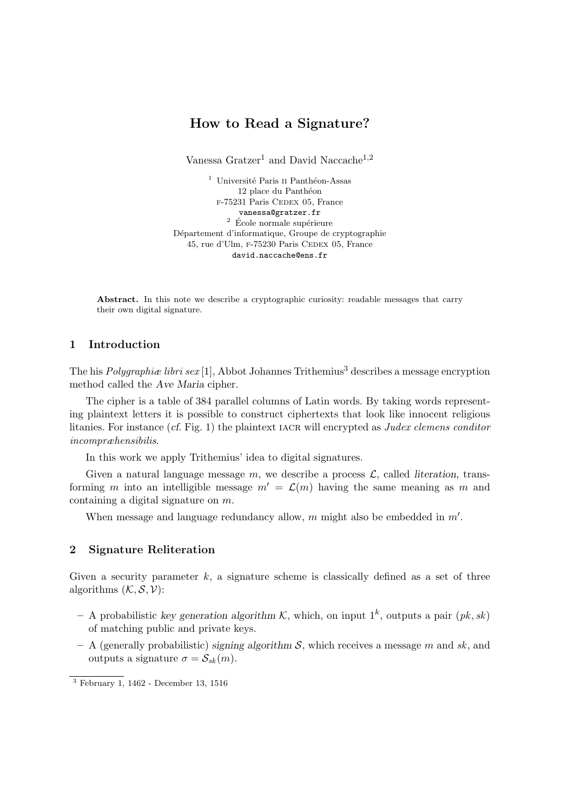# **How to Read a Signature?**

Vanessa Gratzer<sup>1</sup> and David Naccache<sup>1,2</sup>

 $^{\rm 1}$ Université Paris II Panthéon-Assas 12 place du Panthéon F-75231 Paris CEDEX 05, France vanessa@gratzer.fr  $2 \text{ École normale supérieure}$ Département d'informatique, Groupe de cryptographie 45, rue d'Ulm, F-75230 Paris CEDEX 05, France david.naccache@ens.fr

Abstract. In this note we describe a cryptographic curiosity: readable messages that carry their own digital signature.

## **1 Introduction**

The his *Polygraphiae libri sex* [1], Abbot Johannes Trithemius<sup>3</sup> describes a message encryption method called the *Ave Maria* cipher.

The cipher is a table of 384 parallel columns of Latin words. By taking words representing plaintext letters it is possible to construct ciphertexts that look like innocent religious litanies. For instance (*cf.* Fig. 1) the plaintext IACR will encrypted as *Judex clemens conditor incompræhensibilis*.

In this work we apply Trithemius' idea to digital signatures.

Given a natural language message  $m$ , we describe a process  $\mathcal{L}$ , called *literation*, transforming *m* into an intelligible message  $m' = \mathcal{L}(m)$  having the same meaning as *m* and containing a digital signature on *m*.

When message and language redundancy allow, *m* might also be embedded in *m′* .

### **2 Signature Reliteration**

Given a security parameter *k*, a signature scheme is classically defined as a set of three algorithms  $(K, \mathcal{S}, \mathcal{V})$ :

- $-$  A probabilistic *key generation algorithm K*, which, on input  $1<sup>k</sup>$ , outputs a pair  $(pk, sk)$ of matching public and private keys.
- **–** A (generally probabilistic) *signing algorithm S*, which receives a message *m* and *sk*, and outputs a signature  $\sigma = \mathcal{S}_{sk}(m)$ .

<sup>3</sup> February 1, 1462 - December 13, 1516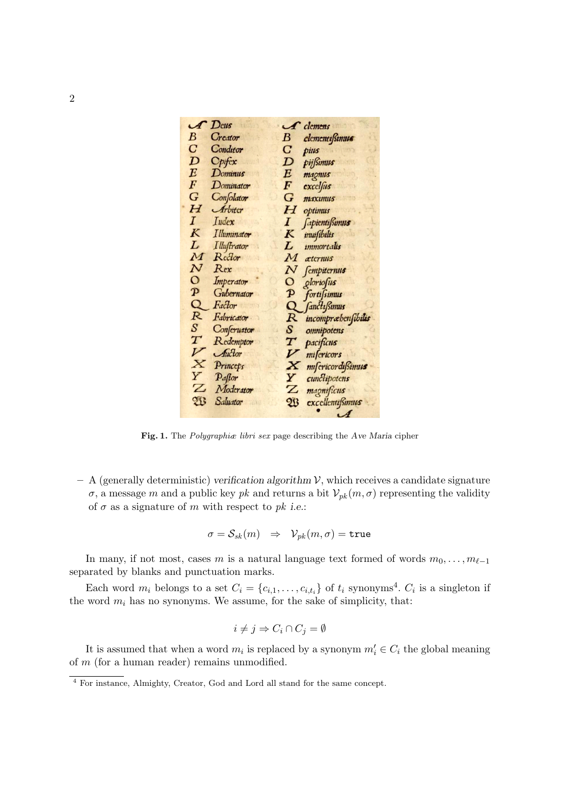

**Fig. 1.** The *Polygraphiæ libri sex* page describing the *Ave Maria* cipher

**–** A (generally deterministic) *verification algorithm V*, which receives a candidate signature  $\sigma$ , a message *m* and a public key *pk* and returns a bit  $V_{pk}(m, \sigma)$  representing the validity of  $\sigma$  as a signature of  $m$  with respect to  $pk$  *i.e.*:

$$
\sigma = \mathcal{S}_{sk}(m) \quad \Rightarrow \quad \mathcal{V}_{pk}(m, \sigma) = \texttt{true}
$$

In many, if not most, cases *m* is a natural language text formed of words  $m_0, \ldots, m_{\ell-1}$ separated by blanks and punctuation marks.

Each word  $m_i$  belongs to a set  $C_i = \{c_{i,1}, \ldots, c_{i,t_i}\}\$  of  $t_i$  synonyms<sup>4</sup>.  $C_i$  is a singleton if the word  $m_i$  has no synonyms. We assume, for the sake of simplicity, that:

$$
i \neq j \Rightarrow C_i \cap C_j = \emptyset
$$

It is assumed that when a word  $m_i$  is replaced by a synonym  $m'_i \in C_i$  the global meaning of *m* (for a human reader) remains unmodified.

<sup>4</sup> For instance, Almighty, Creator, God and Lord all stand for the same concept.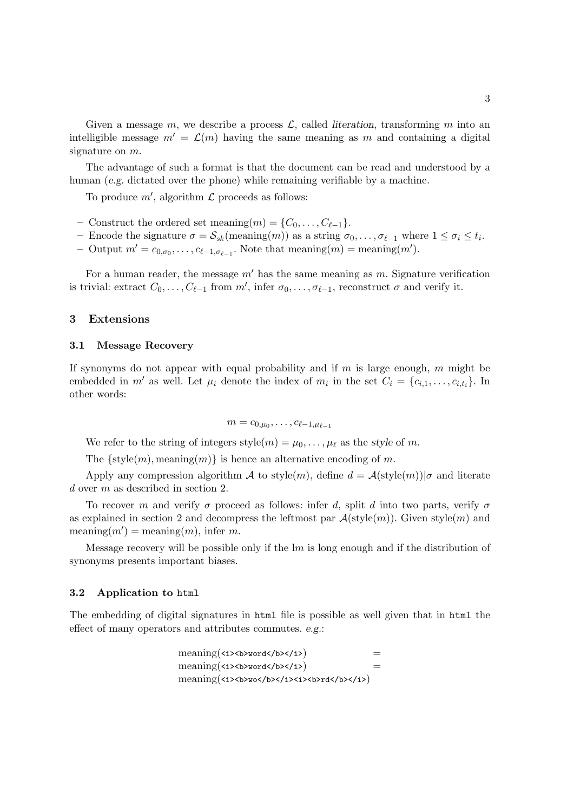Given a message  $m$ , we describe a process  $\mathcal{L}$ , called *literation*, transforming  $m$  into an intelligible message  $m' = \mathcal{L}(m)$  having the same meaning as m and containing a digital signature on *m*.

The advantage of such a format is that the document can be read and understood by a human (*e.g.* dictated over the phone) while remaining verifiable by a machine.

To produce *m′* , algorithm *L* proceeds as follows:

- $-$  Construct the ordered set meaning $(m) = \{C_0, \ldots, C_{\ell-1}\}.$
- $\sigma = \mathcal{S}_{sk}(\text{meaning}(m))$  as a string  $\sigma_0, \ldots, \sigma_{\ell-1}$  where  $1 \leq \sigma_i \leq t_i$ .
- $-$  Output  $m' = c_{0,\sigma_0}, \ldots, c_{\ell-1,\sigma_{\ell-1}}$ . Note that meaning $(m) = \text{meaning}(m')$ .

For a human reader, the message *m′* has the same meaning as *m*. Signature verification is trivial: extract  $C_0, \ldots, C_{\ell-1}$  from  $m'$ , infer  $\sigma_0, \ldots, \sigma_{\ell-1}$ , reconstruct  $\sigma$  and verify it.

### **3 Extensions**

#### **3.1 Message Recovery**

If synonyms do not appear with equal probability and if *m* is large enough, *m* might be embedded in *m'* as well. Let  $\mu_i$  denote the index of  $m_i$  in the set  $C_i = \{c_{i,1}, \ldots, c_{i,t_i}\}$ . In other words:

$$
m=c_{0,\mu_0},\ldots,c_{\ell-1,\mu_{\ell-1}}
$$

We refer to the string of integers  $style(m) = \mu_0, \ldots, \mu_\ell$  as the *style* of *m*.

The  $\{style(m)$ , meaning $(m)\}$  is hence an alternative encoding of m.

Apply any compression algorithm *A* to style(*m*), define  $d = A(\text{style}(m))|\sigma$  and literate *d* over *m* as described in section 2.

To recover *m* and verify  $\sigma$  proceed as follows: infer *d*, split *d* into two parts, verify  $\sigma$ as explained in section 2 and decompress the leftmost par  $\mathcal{A}(style(m))$ . Given style $(m)$  and  $\text{meaning}(m') = \text{meaning}(m)$ , infer *m*.

Message recovery will be possible only if the l*m* is long enough and if the distribution of synonyms presents important biases.

#### **3.2 Application to** html

The embedding of digital signatures in html file is possible as well given that in html the effect of many operators and attributes commutes. *e.g.*:

$$
\begin{array}{lll} \mathrm{meaning}(\texttt{>>>>>\\ \mathrm{meaning}(\texttt{}>>>>>\\ &= & \mathrm{meaning}(\texttt{}>>>>>\\ &= & \mathrm{meaning}(\texttt{}>>>>>>>>\\ &= & \mathrm{meaning}(\texttt{}>>>>>>>>>>>>\\ \end{array}
$$